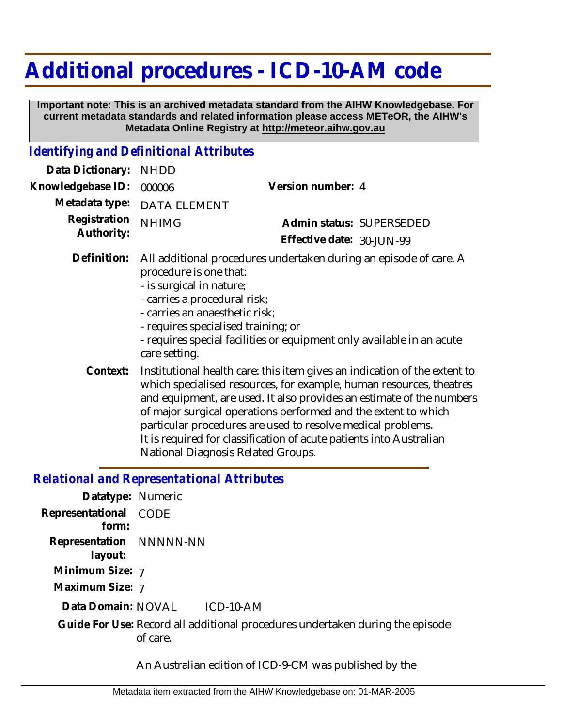## **Additional procedures - ICD-10-AM code**

 **Important note: This is an archived metadata standard from the AIHW Knowledgebase. For current metadata standards and related information please access METeOR, the AIHW's Metadata Online Registry at http://meteor.aihw.gov.au**

## *Identifying and Definitional Attributes*

| Data Dictionary:           | <b>NHDD</b>                                                                                                                                                                                                                                                                                                                                                                                                                                                                   |                                                                                                                                            |
|----------------------------|-------------------------------------------------------------------------------------------------------------------------------------------------------------------------------------------------------------------------------------------------------------------------------------------------------------------------------------------------------------------------------------------------------------------------------------------------------------------------------|--------------------------------------------------------------------------------------------------------------------------------------------|
| Knowledgebase ID:          | 000006                                                                                                                                                                                                                                                                                                                                                                                                                                                                        | Version number: 4                                                                                                                          |
| Metadata type:             | DATA ELEMENT                                                                                                                                                                                                                                                                                                                                                                                                                                                                  |                                                                                                                                            |
| Registration<br>Authority: | <b>NHIMG</b>                                                                                                                                                                                                                                                                                                                                                                                                                                                                  | Admin status: SUPERSEDED                                                                                                                   |
|                            |                                                                                                                                                                                                                                                                                                                                                                                                                                                                               | Effective date: 30-JUN-99                                                                                                                  |
| Definition:                | procedure is one that:<br>- is surgical in nature;<br>- carries a procedural risk;<br>- carries an anaesthetic risk;<br>- requires specialised training; or<br>care setting.                                                                                                                                                                                                                                                                                                  | All additional procedures undertaken during an episode of care. A<br>- requires special facilities or equipment only available in an acute |
| Context:                   | Institutional health care: this item gives an indication of the extent to<br>which specialised resources, for example, human resources, theatres<br>and equipment, are used. It also provides an estimate of the numbers<br>of major surgical operations performed and the extent to which<br>particular procedures are used to resolve medical problems.<br>It is required for classification of acute patients into Australian<br><b>National Diagnosis Related Groups.</b> |                                                                                                                                            |

## *Relational and Representational Attributes*

| Datatype: Numeric                  |                                                                                           |
|------------------------------------|-------------------------------------------------------------------------------------------|
| Representational CODE              |                                                                                           |
| form:                              |                                                                                           |
| Representation NNNNN-NN<br>layout: |                                                                                           |
| Minimum Size: 7                    |                                                                                           |
| Maximum Size: 7                    |                                                                                           |
| Data Domain: NOVAL                 | $ICD-10-AM$                                                                               |
|                                    | Guide For Use: Record all additional procedures undertaken during the episode<br>of care. |
|                                    |                                                                                           |

An Australian edition of ICD-9-CM was published by the